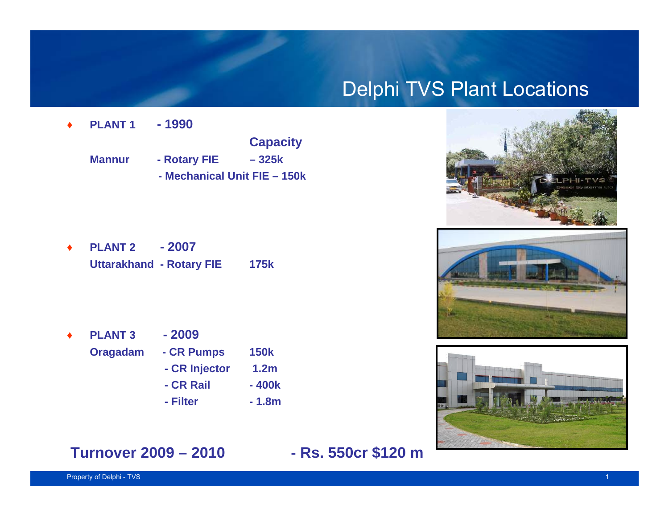#### Delphi TVS Plant Locations



♦ **PLANT 2 - 2007Uttarakhand - Rotary FIE 175k**

♦**PLANT 3 - 2009**

♦

- 
- **Oragadam CR Pumps 150k**
	- **CR Injector 1.2m**
	- **CR Rail 400k**
	- **- Filter - 1.8m**







#### **Turnover 2009 – 2010 - Rs. 550cr \$120 m**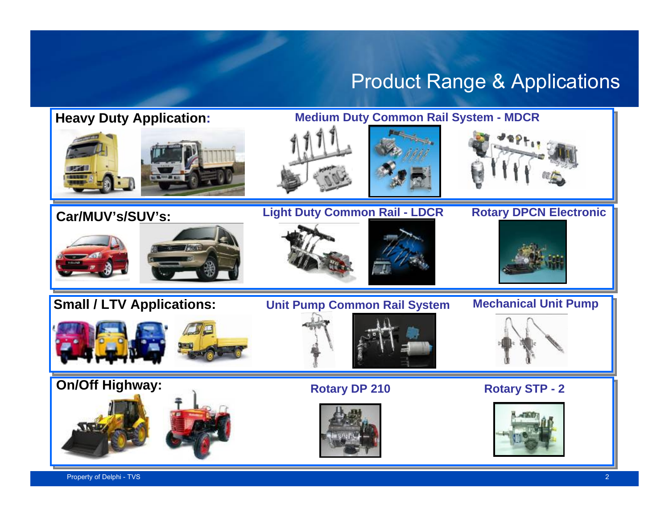#### Product Range & Applications

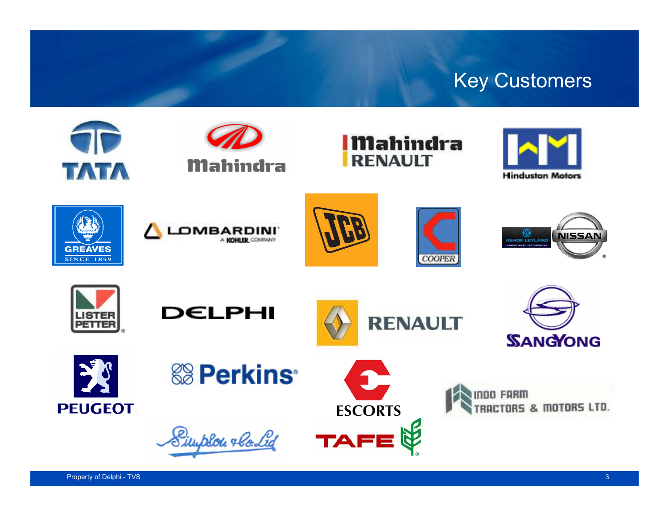## Key Customers

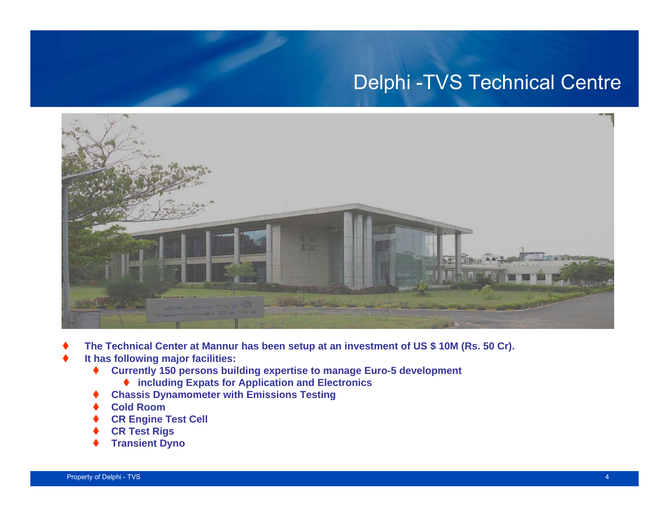## Delphi -TVS Technical Centre



- ♦ **The Technical Center at Mannur has been setup at an investment of US \$ 10M (Rs. 50 Cr).**
- ♦ **It has following major facilities:**
	- ♦ **Currently 150 persons building expertise to manage Euro-5 development**
		- ◆ including Expats for Application and Electronics
	- ♦ **Chassis Dynamometer with Emissions Testing**
	- ♦ **Cold Room**
	- ♦ **CR Engine Test Cell**
	- ♦ **CR Test Rigs**
	- ♦ **Transient Dyno**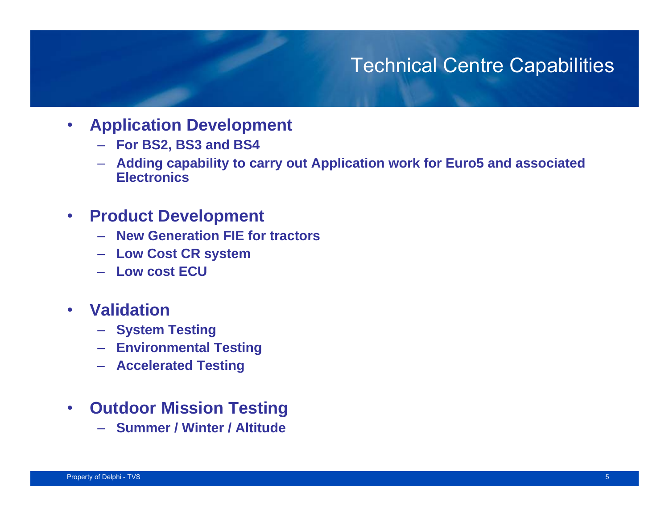#### Technical Centre Capabilities

- • **Application Development**
	- **For BS2, BS3 and BS4**
	- **Adding capability to carry out Application work for Euro5 and associated Electronics**
- $\bullet$  **Product Development**
	- **New Generation FIE for tractors**
	- **Low Cost CR system**
	- **Low cost ECU**
- • **Validation**
	- **System Testing**
	- **Environmental Testing**
	- **Accelerated Testing**
- $\bullet$  **Outdoor Mission Testing**
	- **Summer / Winter / Altitude**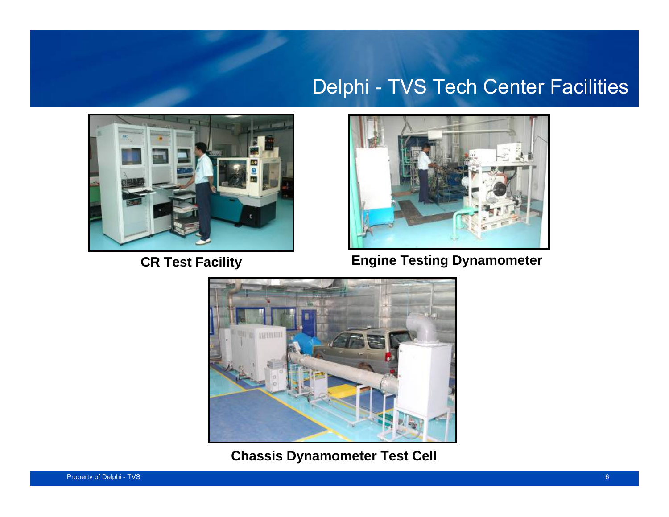#### Delphi - TVS Tech Center Facilities





**CR Test Facility Engine Testing Dynamometer** 



**Chassis Dynamometer Test Cell**